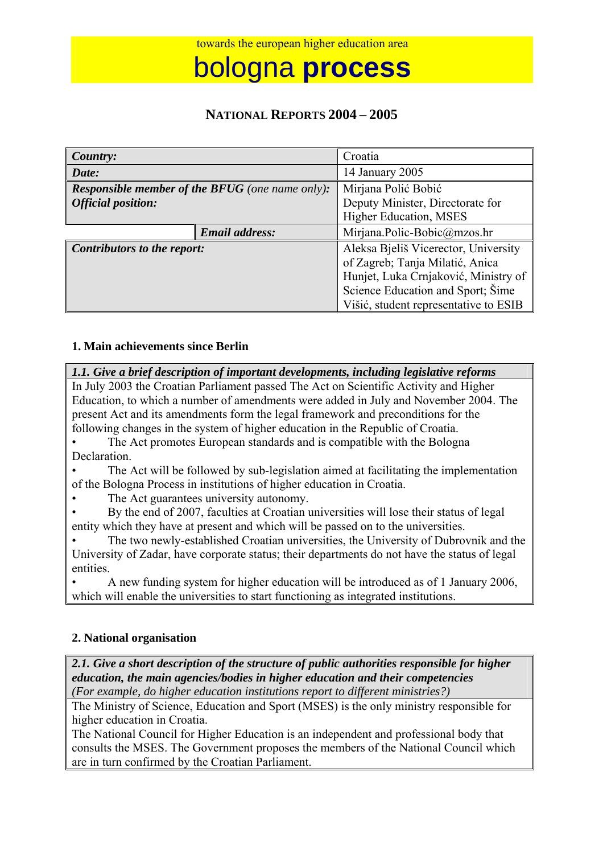# bologna **process**

# **NATIONAL REPORTS 2004 – 2005**

| Country:                                               |                       | Croatia                                                                                                                                              |
|--------------------------------------------------------|-----------------------|------------------------------------------------------------------------------------------------------------------------------------------------------|
| Date:                                                  |                       | 14 January 2005                                                                                                                                      |
| <b>Responsible member of the BFUG</b> (one name only): |                       | Mirjana Polić Bobić                                                                                                                                  |
| <b>Official position:</b>                              |                       | Deputy Minister, Directorate for                                                                                                                     |
|                                                        |                       | <b>Higher Education, MSES</b>                                                                                                                        |
|                                                        | <b>Email address:</b> | Mirjana.Polic-Bobic@mzos.hr                                                                                                                          |
| Contributors to the report:                            |                       | Aleksa Bjeliš Vicerector, University<br>of Zagreb; Tanja Milatić, Anica<br>Hunjet, Luka Crnjaković, Ministry of<br>Science Education and Sport; Šime |
|                                                        |                       | Višić, student representative to ESIB                                                                                                                |

#### **1. Main achievements since Berlin**

*1.1. Give a brief description of important developments, including legislative reforms*  In July 2003 the Croatian Parliament passed The Act on Scientific Activity and Higher Education, to which a number of amendments were added in July and November 2004. The present Act and its amendments form the legal framework and preconditions for the following changes in the system of higher education in the Republic of Croatia.

• The Act promotes European standards and is compatible with the Bologna **Declaration** 

The Act will be followed by sub-legislation aimed at facilitating the implementation of the Bologna Process in institutions of higher education in Croatia.

The Act guarantees university autonomy.

• By the end of 2007, faculties at Croatian universities will lose their status of legal entity which they have at present and which will be passed on to the universities.

The two newly-established Croatian universities, the University of Dubrovnik and the University of Zadar, have corporate status; their departments do not have the status of legal entities.

• A new funding system for higher education will be introduced as of 1 January 2006, which will enable the universities to start functioning as integrated institutions.

## **2. National organisation**

*2.1. Give a short description of the structure of public authorities responsible for higher education, the main agencies/bodies in higher education and their competencies (For example, do higher education institutions report to different ministries?)* 

The Ministry of Science, Education and Sport (MSES) is the only ministry responsible for higher education in Croatia.

The National Council for Higher Education is an independent and professional body that consults the MSES. The Government proposes the members of the National Council which are in turn confirmed by the Croatian Parliament.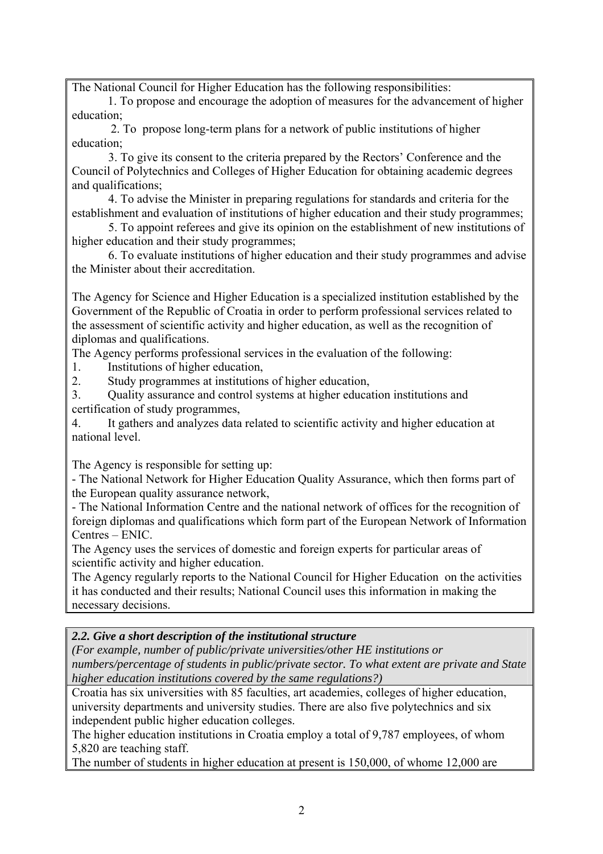The National Council for Higher Education has the following responsibilities:

 1. To propose and encourage the adoption of measures for the advancement of higher education;

 2. To propose long-term plans for a network of public institutions of higher education;

 3. To give its consent to the criteria prepared by the Rectors' Conference and the Council of Polytechnics and Colleges of Higher Education for obtaining academic degrees and qualifications;

 4. To advise the Minister in preparing regulations for standards and criteria for the establishment and evaluation of institutions of higher education and their study programmes;

 5. To appoint referees and give its opinion on the establishment of new institutions of higher education and their study programmes:

 6. To evaluate institutions of higher education and their study programmes and advise the Minister about their accreditation.

The Agency for Science and Higher Education is a specialized institution established by the Government of the Republic of Croatia in order to perform professional services related to the assessment of scientific activity and higher education, as well as the recognition of diplomas and qualifications.

The Agency performs professional services in the evaluation of the following:

1. Institutions of higher education,

2. Study programmes at institutions of higher education,

3. Quality assurance and control systems at higher education institutions and certification of study programmes,

4. It gathers and analyzes data related to scientific activity and higher education at national level.

The Agency is responsible for setting up:

- The National Network for Higher Education Quality Assurance, which then forms part of the European quality assurance network,

- The National Information Centre and the national network of offices for the recognition of foreign diplomas and qualifications which form part of the European Network of Information Centres – ENIC.

The Agency uses the services of domestic and foreign experts for particular areas of scientific activity and higher education.

The Agency regularly reports to the National Council for Higher Education on the activities it has conducted and their results; National Council uses this information in making the necessary decisions.

*2.2. Give a short description of the institutional structure* 

*(For example, number of public/private universities/other HE institutions or numbers/percentage of students in public/private sector. To what extent are private and State higher education institutions covered by the same regulations?)* 

Croatia has six universities with 85 faculties, art academies, colleges of higher education, university departments and university studies. There are also five polytechnics and six independent public higher education colleges.

The higher education institutions in Croatia employ a total of 9,787 employees, of whom 5,820 are teaching staff.

The number of students in higher education at present is 150,000, of whome 12,000 are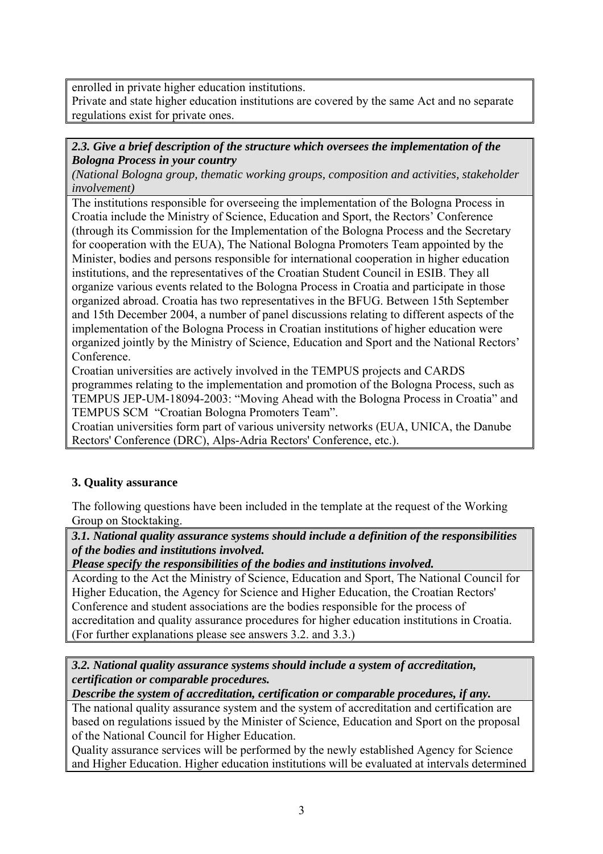enrolled in private higher education institutions.

Private and state higher education institutions are covered by the same Act and no separate regulations exist for private ones.

# *2.3. Give a brief description of the structure which oversees the implementation of the Bologna Process in your country*

*(National Bologna group, thematic working groups, composition and activities, stakeholder involvement)* 

The institutions responsible for overseeing the implementation of the Bologna Process in Croatia include the Ministry of Science, Education and Sport, the Rectors' Conference (through its Commission for the Implementation of the Bologna Process and the Secretary for cooperation with the EUA), The National Bologna Promoters Team appointed by the Minister, bodies and persons responsible for international cooperation in higher education institutions, and the representatives of the Croatian Student Council in ESIB. They all organize various events related to the Bologna Process in Croatia and participate in those organized abroad. Croatia has two representatives in the BFUG. Between 15th September and 15th December 2004, a number of panel discussions relating to different aspects of the implementation of the Bologna Process in Croatian institutions of higher education were organized jointly by the Ministry of Science, Education and Sport and the National Rectors' **Conference** 

Croatian universities are actively involved in the TEMPUS projects and CARDS programmes relating to the implementation and promotion of the Bologna Process, such as TEMPUS JEP-UM-18094-2003: "Moving Ahead with the Bologna Process in Croatia" and TEMPUS SCM "Croatian Bologna Promoters Team".

Croatian universities form part of various university networks (EUA, UNICA, the Danube Rectors' Conference (DRC), Alps-Adria Rectors' Conference, etc.).

# **3. Quality assurance**

The following questions have been included in the template at the request of the Working Group on Stocktaking.

*3.1. National quality assurance systems should include a definition of the responsibilities of the bodies and institutions involved.* 

*Please specify the responsibilities of the bodies and institutions involved.*

Acording to the Act the Ministry of Science, Education and Sport, The National Council for Higher Education, the Agency for Science and Higher Education, the Croatian Rectors' Conference and student associations are the bodies responsible for the process of accreditation and quality assurance procedures for higher education institutions in Croatia. (For further explanations please see answers 3.2. and 3.3.)

*3.2. National quality assurance systems should include a system of accreditation, certification or comparable procedures.* 

*Describe the system of accreditation, certification or comparable procedures, if any.* 

The national quality assurance system and the system of accreditation and certification are based on regulations issued by the Minister of Science, Education and Sport on the proposal of the National Council for Higher Education.

Quality assurance services will be performed by the newly established Agency for Science and Higher Education. Higher education institutions will be evaluated at intervals determined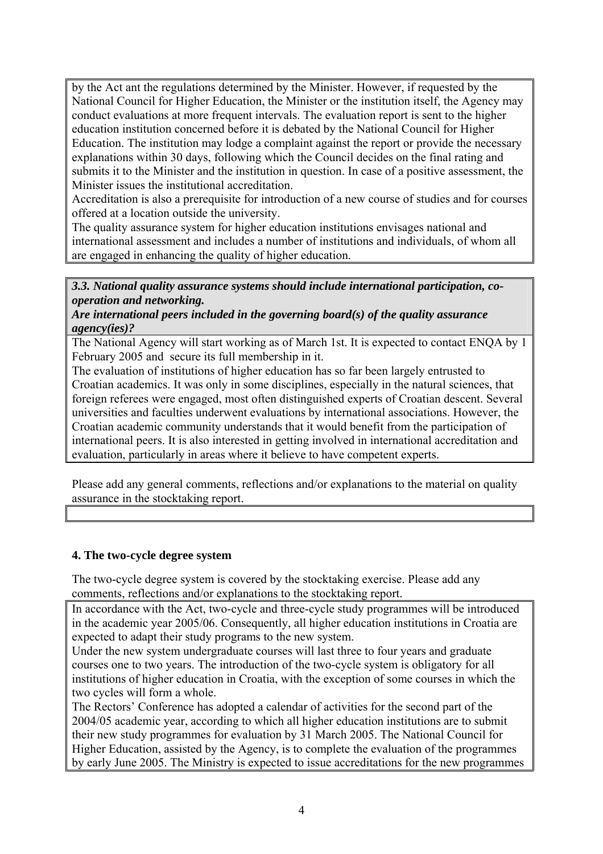by the Act ant the regulations determined by the Minister. However, if requested by the National Council for Higher Education, the Minister or the institution itself, the Agency may conduct evaluations at more frequent intervals. The evaluation report is sent to the higher education institution concerned before it is debated by the National Council for Higher Education. The institution may lodge a complaint against the report or provide the necessary explanations within 30 days, following which the Council decides on the final rating and submits it to the Minister and the institution in question. In case of a positive assessment, the Minister issues the institutional accreditation.

Accreditation is also a prerequisite for introduction of a new course of studies and for courses offered at a location outside the university.

The quality assurance system for higher education institutions envisages national and international assessment and includes a number of institutions and individuals, of whom all are engaged in enhancing the quality of higher education.

## *3.3. National quality assurance systems should include international participation, cooperation and networking.*

#### *Are international peers included in the governing board(s) of the quality assurance agency(ies)?*

The National Agency will start working as of March 1st. It is expected to contact ENQA by 1 February 2005 and secure its full membership in it.

The evaluation of institutions of higher education has so far been largely entrusted to Croatian academics. It was only in some disciplines, especially in the natural sciences, that foreign referees were engaged, most often distinguished experts of Croatian descent. Several universities and faculties underwent evaluations by international associations. However, the Croatian academic community understands that it would benefit from the participation of international peers. It is also interested in getting involved in international accreditation and evaluation, particularly in areas where it believe to have competent experts.

Please add any general comments, reflections and/or explanations to the material on quality assurance in the stocktaking report.

## **4. The two-cycle degree system**

The two-cycle degree system is covered by the stocktaking exercise. Please add any comments, reflections and/or explanations to the stocktaking report.

In accordance with the Act, two-cycle and three-cycle study programmes will be introduced in the academic year 2005/06. Consequently, all higher education institutions in Croatia are expected to adapt their study programs to the new system.

Under the new system undergraduate courses will last three to four years and graduate courses one to two years. The introduction of the two-cycle system is obligatory for all institutions of higher education in Croatia, with the exception of some courses in which the two cycles will form a whole.

The Rectors' Conference has adopted a calendar of activities for the second part of the 2004/05 academic year, according to which all higher education institutions are to submit their new study programmes for evaluation by 31 March 2005. The National Council for Higher Education, assisted by the Agency, is to complete the evaluation of the programmes by early June 2005. The Ministry is expected to issue accreditations for the new programmes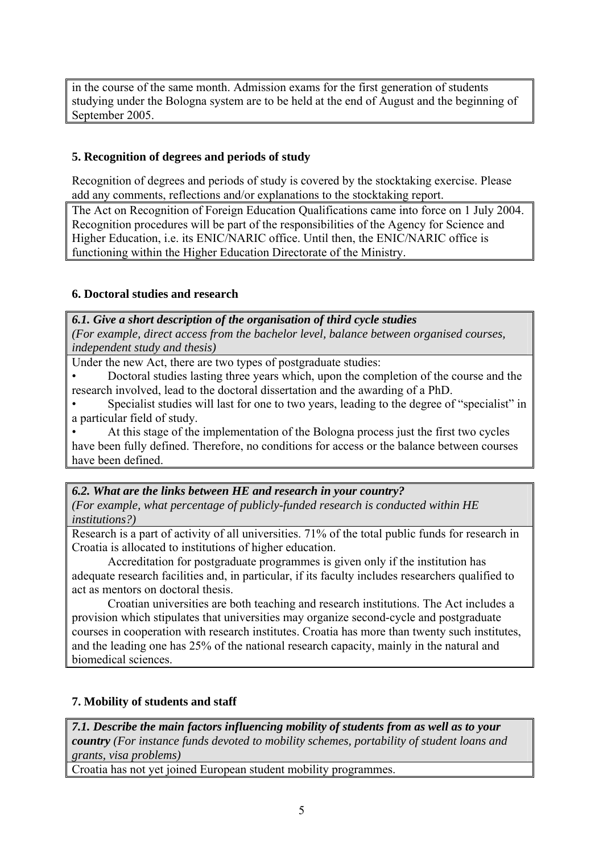in the course of the same month. Admission exams for the first generation of students studying under the Bologna system are to be held at the end of August and the beginning of September 2005.

#### **5. Recognition of degrees and periods of study**

Recognition of degrees and periods of study is covered by the stocktaking exercise. Please add any comments, reflections and/or explanations to the stocktaking report.

The Act on Recognition of Foreign Education Qualifications came into force on 1 July 2004. Recognition procedures will be part of the responsibilities of the Agency for Science and Higher Education, i.e. its ENIC/NARIC office. Until then, the ENIC/NARIC office is functioning within the Higher Education Directorate of the Ministry.

#### **6. Doctoral studies and research**

*6.1. Give a short description of the organisation of third cycle studies (For example, direct access from the bachelor level, balance between organised courses, independent study and thesis)*

Under the new Act, there are two types of postgraduate studies:

• Doctoral studies lasting three years which, upon the completion of the course and the research involved, lead to the doctoral dissertation and the awarding of a PhD.

• Specialist studies will last for one to two years, leading to the degree of "specialist" in a particular field of study.

• At this stage of the implementation of the Bologna process just the first two cycles have been fully defined. Therefore, no conditions for access or the balance between courses have been defined.

#### *6.2. What are the links between HE and research in your country?*

*(For example, what percentage of publicly-funded research is conducted within HE institutions?)* 

Research is a part of activity of all universities. 71% of the total public funds for research in Croatia is allocated to institutions of higher education.

 Accreditation for postgraduate programmes is given only if the institution has adequate research facilities and, in particular, if its faculty includes researchers qualified to act as mentors on doctoral thesis.

 Croatian universities are both teaching and research institutions. The Act includes a provision which stipulates that universities may organize second-cycle and postgraduate courses in cooperation with research institutes. Croatia has more than twenty such institutes, and the leading one has 25% of the national research capacity, mainly in the natural and biomedical sciences.

#### **7. Mobility of students and staff**

*7.1. Describe the main factors influencing mobility of students from as well as to your country (For instance funds devoted to mobility schemes, portability of student loans and grants, visa problems)* 

Croatia has not yet joined European student mobility programmes.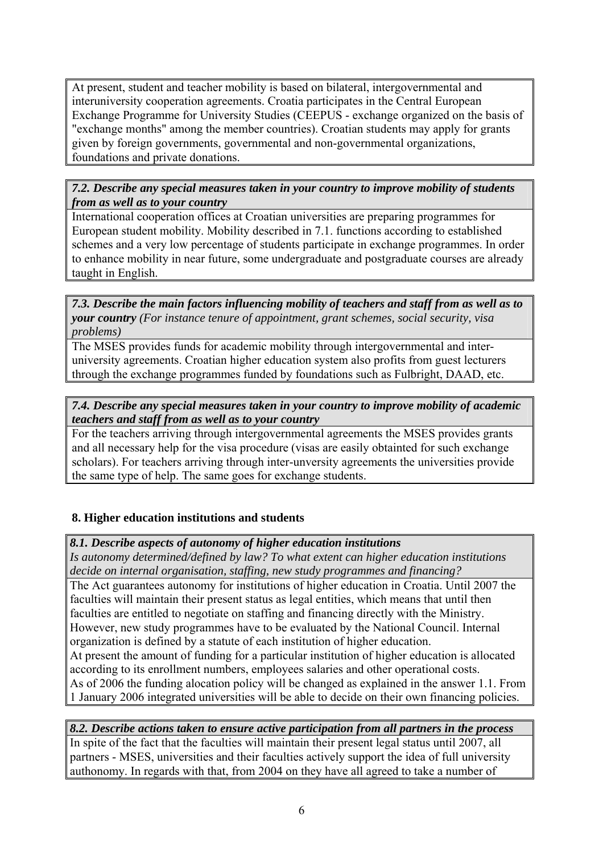At present, student and teacher mobility is based on bilateral, intergovernmental and interuniversity cooperation agreements. Croatia participates in the Central European Exchange Programme for University Studies (CEEPUS - exchange organized on the basis of "exchange months" among the member countries). Croatian students may apply for grants given by foreign governments, governmental and non-governmental organizations, foundations and private donations.

## *7.2. Describe any special measures taken in your country to improve mobility of students from as well as to your country*

International cooperation offices at Croatian universities are preparing programmes for European student mobility. Mobility described in 7.1. functions according to established schemes and a very low percentage of students participate in exchange programmes. In order to enhance mobility in near future, some undergraduate and postgraduate courses are already taught in English.

*7.3. Describe the main factors influencing mobility of teachers and staff from as well as to your country (For instance tenure of appointment, grant schemes, social security, visa problems)* 

The MSES provides funds for academic mobility through intergovernmental and interuniversity agreements. Croatian higher education system also profits from guest lecturers through the exchange programmes funded by foundations such as Fulbright, DAAD, etc.

*7.4. Describe any special measures taken in your country to improve mobility of academic teachers and staff from as well as to your country* 

For the teachers arriving through intergovernmental agreements the MSES provides grants and all necessary help for the visa procedure (visas are easily obtainted for such exchange scholars). For teachers arriving through inter-unversity agreements the universities provide the same type of help. The same goes for exchange students.

# **8. Higher education institutions and students**

# *8.1. Describe aspects of autonomy of higher education institutions*

*Is autonomy determined/defined by law? To what extent can higher education institutions decide on internal organisation, staffing, new study programmes and financing?* 

The Act guarantees autonomy for institutions of higher education in Croatia. Until 2007 the faculties will maintain their present status as legal entities, which means that until then faculties are entitled to negotiate on staffing and financing directly with the Ministry. However, new study programmes have to be evaluated by the National Council. Internal organization is defined by a statute of each institution of higher education. At present the amount of funding for a particular institution of higher education is allocated according to its enrollment numbers, employees salaries and other operational costs. As of 2006 the funding alocation policy will be changed as explained in the answer 1.1. From 1 January 2006 integrated universities will be able to decide on their own financing policies.

#### *8.2. Describe actions taken to ensure active participation from all partners in the process*  In spite of the fact that the faculties will maintain their present legal status until 2007, all partners - MSES, universities and their faculties actively support the idea of full university authonomy. In regards with that, from 2004 on they have all agreed to take a number of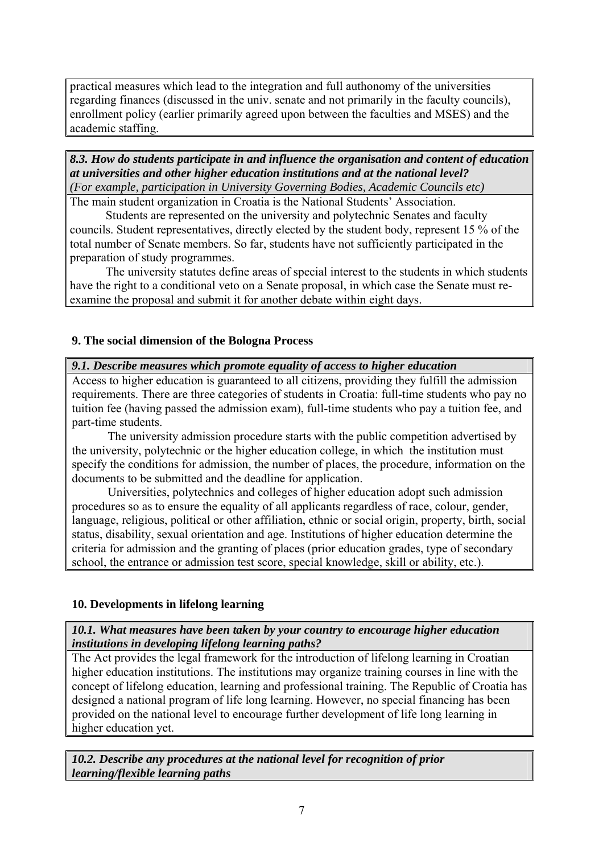practical measures which lead to the integration and full authonomy of the universities regarding finances (discussed in the univ. senate and not primarily in the faculty councils), enrollment policy (earlier primarily agreed upon between the faculties and MSES) and the academic staffing.

*8.3. How do students participate in and influence the organisation and content of education at universities and other higher education institutions and at the national level? (For example, participation in University Governing Bodies, Academic Councils etc)* 

The main student organization in Croatia is the National Students' Association.

 Students are represented on the university and polytechnic Senates and faculty councils. Student representatives, directly elected by the student body, represent 15 % of the total number of Senate members. So far, students have not sufficiently participated in the preparation of study programmes.

 The university statutes define areas of special interest to the students in which students have the right to a conditional veto on a Senate proposal, in which case the Senate must reexamine the proposal and submit it for another debate within eight days.

## **9. The social dimension of the Bologna Process**

## *9.1. Describe measures which promote equality of access to higher education*

Access to higher education is guaranteed to all citizens, providing they fulfill the admission requirements. There are three categories of students in Croatia: full-time students who pay no tuition fee (having passed the admission exam), full-time students who pay a tuition fee, and part-time students.

 The university admission procedure starts with the public competition advertised by the university, polytechnic or the higher education college, in which the institution must specify the conditions for admission, the number of places, the procedure, information on the documents to be submitted and the deadline for application.

 Universities, polytechnics and colleges of higher education adopt such admission procedures so as to ensure the equality of all applicants regardless of race, colour, gender, language, religious, political or other affiliation, ethnic or social origin, property, birth, social status, disability, sexual orientation and age. Institutions of higher education determine the criteria for admission and the granting of places (prior education grades, type of secondary school, the entrance or admission test score, special knowledge, skill or ability, etc.).

## **10. Developments in lifelong learning**

## *10.1. What measures have been taken by your country to encourage higher education institutions in developing lifelong learning paths?*

The Act provides the legal framework for the introduction of lifelong learning in Croatian higher education institutions. The institutions may organize training courses in line with the concept of lifelong education, learning and professional training. The Republic of Croatia has designed a national program of life long learning. However, no special financing has been provided on the national level to encourage further development of life long learning in higher education yet.

*10.2. Describe any procedures at the national level for recognition of prior learning/flexible learning paths*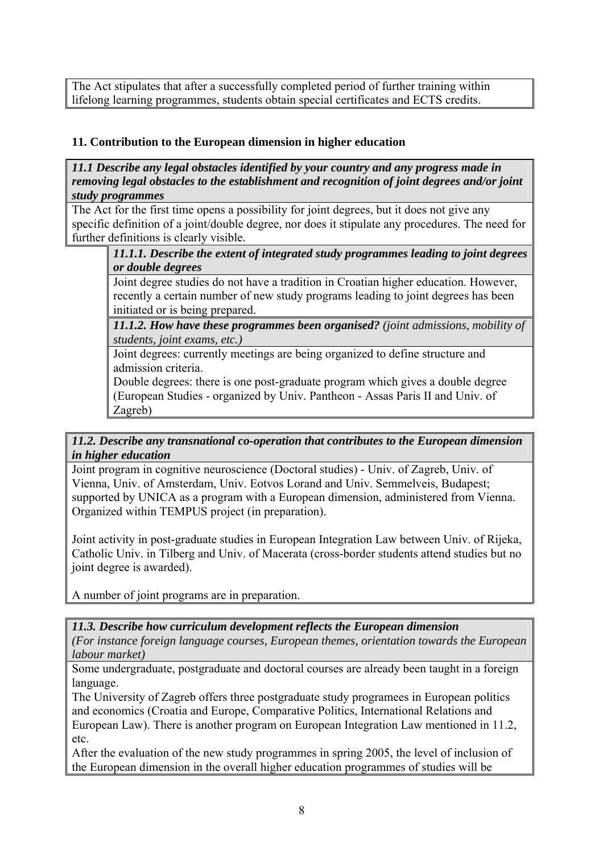The Act stipulates that after a successfully completed period of further training within lifelong learning programmes, students obtain special certificates and ECTS credits.

# **11. Contribution to the European dimension in higher education**

*11.1 Describe any legal obstacles identified by your country and any progress made in removing legal obstacles to the establishment and recognition of joint degrees and/or joint study programmes* 

The Act for the first time opens a possibility for joint degrees, but it does not give any specific definition of a joint/double degree, nor does it stipulate any procedures. The need for further definitions is clearly visible.

*11.1.1. Describe the extent of integrated study programmes leading to joint degrees or double degrees* 

 Joint degree studies do not have a tradition in Croatian higher education. However, recently a certain number of new study programs leading to joint degrees has been initiated or is being prepared.

*11.1.2. How have these programmes been organised? (joint admissions, mobility of students, joint exams, etc.)*

 Joint degrees: currently meetings are being organized to define structure and admission criteria.

Double degrees: there is one post-graduate program which gives a double degree (European Studies - organized by Univ. Pantheon - Assas Paris II and Univ. of Zagreb)

## *11.2. Describe any transnational co-operation that contributes to the European dimension in higher education*

Joint program in cognitive neuroscience (Doctoral studies) - Univ. of Zagreb, Univ. of Vienna, Univ. of Amsterdam, Univ. Eotvos Lorand and Univ. Semmelveis, Budapest; supported by UNICA as a program with a European dimension, administered from Vienna. Organized within TEMPUS project (in preparation).

Joint activity in post-graduate studies in European Integration Law between Univ. of Rijeka, Catholic Univ. in Tilberg and Univ. of Macerata (cross-border students attend studies but no joint degree is awarded).

A number of joint programs are in preparation.

## *11.3. Describe how curriculum development reflects the European dimension*

*(For instance foreign language courses, European themes, orientation towards the European labour market)* 

Some undergraduate, postgraduate and doctoral courses are already been taught in a foreign language.

The University of Zagreb offers three postgraduate study programees in European politics and economics (Croatia and Europe, Comparative Politics, International Relations and European Law). There is another program on European Integration Law mentioned in 11.2, etc.

After the evaluation of the new study programmes in spring 2005, the level of inclusion of the European dimension in the overall higher education programmes of studies will be